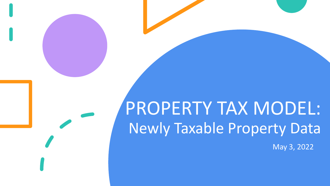# PROPERTY TAX MODEL: Newly Taxable Property Data

May 3, 2022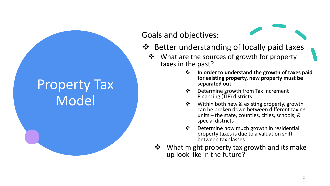### Property Tax Model

Goals and objectives:

- ❖ Better understanding of locally paid taxes
	- ❖ What are the sources of growth for property taxes in the past?
		- ❖ **In order to understand the growth of taxes paid for existing property, new property must be separated out**
		- ❖ Determine growth from Tax Increment Financing (TIF) districts
		- ❖ Within both new & existing property, growth can be broken down between different taxing units – the state, counties, cities, schools, & special districts
		- ❖ Determine how much growth in residential property taxes is due to a valuation shift between tax classes
		- ❖ What might property tax growth and its make up look like in the future?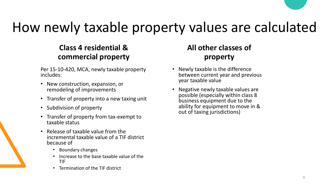## How newly taxable property values are calculated

#### **Class 4 residential & commercial property**

Per 15-10-420, MCA, newly taxable property includes:

- New construction, expansion, or remodeling of improvements
- Transfer of property into a new taxing unit
- Subdivision of property
- Transfer of property from tax-exempt to taxable status
- Release of taxable value from the incremental taxable value of a TIF district because of
	- Boundary changes
	- Increase to the base taxable value of the TIF
	- Termination of the TIF district

#### **All other classes of property**

- Newly taxable is the difference between current year and previous year taxable value
- Negative newly taxable values are possible (especially within class 8 business equipment due to the ability for equipment to move in & out of taxing jurisdictions)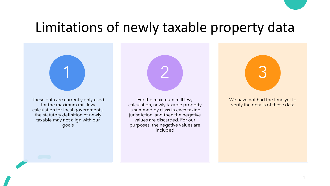### Limitations of newly taxable property data

These data are currently only used for the maximum mill levy calculation for local governments; the statutory definition of newly taxable may not align with our goals

1



For the maximum mill levy calculation, newly taxable property is summed by class in each taxing jurisdiction, and then the negative values are discarded. For our purposes, the negative values are included



We have not had the time yet to verify the details of these data